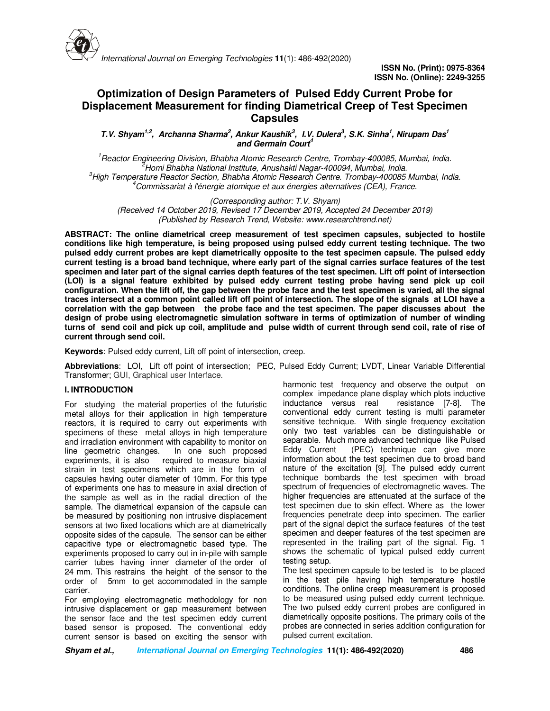

# **Optimization of Design Parameters of Pulsed Eddy Current Probe for Displacement Measurement for finding Diametrical Creep of Test Specimen Capsules**

**7.** V. Shyam<sup>1,2</sup>, Archanna Sharma<sup>2</sup>, Ankur Kaushik<sup>3</sup>, I.V. Dulera<sup>3</sup>, S.K. Sinha<sup>1</sup>, Nirupam Das<sup>1</sup> **and Germain Court<sup>4</sup>**

*Reactor Engineering Division, Bhabha Atomic Research Centre, Trombay-400085, Mumbai, India. Homi Bhabha National Institute, Anushakti Nagar-400094, Mumbai, India. High Temperature Reactor Section, Bhabha Atomic Research Centre. Trombay-400085 Mumbai, India. Commissariat à l'énergie atomique et aux énergies alternatives (CEA), France.* 

*(Corresponding author: T.V. Shyam)*

*(Received 14 October 2019, Revised 17 December 2019, Accepted 24 December 2019) (Published by Research Trend, Website: www.researchtrend.net)* 

**ABSTRACT: The online diametrical creep measurement of test specimen capsules, subjected to hostile conditions like high temperature, is being proposed using pulsed eddy current testing technique. The two pulsed eddy current probes are kept diametrically opposite to the test specimen capsule. The pulsed eddy current testing is a broad band technique, where early part of the signal carries surface features of the test specimen and later part of the signal carries depth features of the test specimen. Lift off point of intersection (LOI) is a signal feature exhibited by pulsed eddy current testing probe having send pick up coil configuration. When the lift off, the gap between the probe face and the test specimen is varied, all the signal traces intersect at a common point called lift off point of intersection. The slope of the signals at LOI have a correlation with the gap between the probe face and the test specimen. The paper discusses about the design of probe using electromagnetic simulation software in terms of optimization of number of winding turns of send coil and pick up coil, amplitude and pulse width of current through send coil, rate of rise of current through send coil.** 

**Keywords**: Pulsed eddy current, Lift off point of intersection, creep.

**Abbreviations**: LOI, Lift off point of intersection; PEC, Pulsed Eddy Current; LVDT, Linear Variable Differential Transformer; GUI, Graphical user Interface.

# **I. INTRODUCTION**

For studying the material properties of the futuristic metal alloys for their application in high temperature reactors, it is required to carry out experiments with specimens of these metal alloys in high temperature and irradiation environment with capability to monitor on<br>line geometric changes. In one such proposed line geometric changes. experiments, it is also required to measure biaxial strain in test specimens which are in the form of capsules having outer diameter of 10mm. For this type of experiments one has to measure in axial direction of the sample as well as in the radial direction of the sample. The diametrical expansion of the capsule can be measured by positioning non intrusive displacement sensors at two fixed locations which are at diametrically opposite sides of the capsule. The sensor can be either capacitive type or electromagnetic based type. The experiments proposed to carry out in in-pile with sample carrier tubes having inner diameter of the order of 24 mm. This restrains the height of the sensor to the order of 5mm to get accommodated in the sample carrier.

For employing electromagnetic methodology for non intrusive displacement or gap measurement between the sensor face and the test specimen eddy current based sensor is proposed. The conventional eddy current sensor is based on exciting the sensor with harmonic test frequency and observe the output on complex impedance plane display which plots inductive<br>inductance versus real resistance [7-8]. The inductance versus real conventional eddy current testing is multi parameter sensitive technique. With single frequency excitation only two test variables can be distinguishable or separable. Much more advanced technique like Pulsed Eddy Current (PEC) technique can give more information about the test specimen due to broad band nature of the excitation [9]. The pulsed eddy current technique bombards the test specimen with broad spectrum of frequencies of electromagnetic waves. The higher frequencies are attenuated at the surface of the test specimen due to skin effect. Where as the lower frequencies penetrate deep into specimen. The earlier part of the signal depict the surface features of the test specimen and deeper features of the test specimen are represented in the trailing part of the signal. Fig. 1 shows the schematic of typical pulsed eddy current testing setup.

The test specimen capsule to be tested is to be placed in the test pile having high temperature hostile conditions. The online creep measurement is proposed to be measured using pulsed eddy current technique. The two pulsed eddy current probes are configured in diametrically opposite positions. The primary coils of the probes are connected in series addition configuration for pulsed current excitation.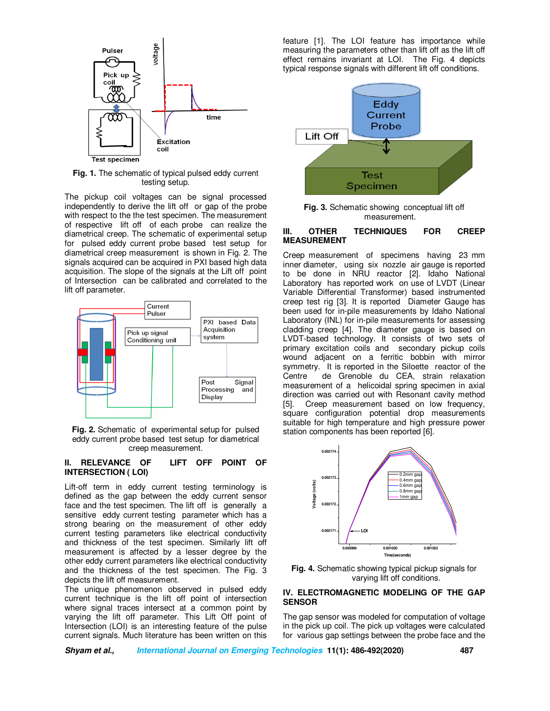

**Fig. 1.** The schematic of typical pulsed eddy current testing setup.

The pickup coil voltages can be signal processed independently to derive the lift off or gap of the probe with respect to the the test specimen. The measurement of respective lift off of each probe can realize the diametrical creep. The schematic of experimental setup for pulsed eddy current probe based test setup for diametrical creep measurement is shown in Fig. 2. The signals acquired can be acquired in PXI based high data acquisition. The slope of the signals at the Lift off point of Intersection can be calibrated and correlated to the lift off parameter.



**Fig. 2.** Schematic of experimental setup for pulsed eddy current probe based test setup for diametrical creep measurement.

## **II. RELEVANCE OF LIFT OFF POINT OF INTERSECTION ( LOI)**

Lift-off term in eddy current testing terminology is defined as the gap between the eddy current sensor face and the test specimen. The lift off is generally a sensitive eddy current testing parameter which has a strong bearing on the measurement of other eddy current testing parameters like electrical conductivity and thickness of the test specimen. Similarly lift off measurement is affected by a lesser degree by the other eddy current parameters like electrical conductivity and the thickness of the test specimen. The Fig. 3 depicts the lift off measurement.

The unique phenomenon observed in pulsed eddy current technique is the lift off point of intersection where signal traces intersect at a common point by varying the lift off parameter. This Lift Off point of Intersection (LOI) is an interesting feature of the pulse current signals. Much literature has been written on this

feature [1]. The LOI feature has importance while measuring the parameters other than lift off as the lift off effect remains invariant at LOI. The Fig. 4 depicts typical response signals with different lift off conditions.



**Fig. 3.** Schematic showing conceptual lift off measurement.

#### **III. OTHER TECHNIQUES FOR CREEP MEASUREMENT**

Creep measurement of specimens having 23 mm inner diameter, using six nozzle air gauge is reported to be done in NRU reactor [2]. Idaho National Laboratory has reported work on use of LVDT (Linear Variable Differential Transformer) based instrumented creep test rig [3]. It is reported Diameter Gauge has been used for in-pile measurements by Idaho National Laboratory (INL) for in-pile measurements for assessing cladding creep [4]. The diameter gauge is based on LVDT-based technology. It consists of two sets of primary excitation coils and secondary pickup coils wound adjacent on a ferritic bobbin with mirror symmetry. It is reported in the Siloette reactor of the Centre de Grenoble du CEA, strain relaxation measurement of a helicoidal spring specimen in axial direction was carried out with Resonant cavity method [5]. Creep measurement based on low frequency, square configuration potential drop measurements suitable for high temperature and high pressure power station components has been reported [6].



**Fig. 4.** Schematic showing typical pickup signals for varying lift off conditions.

## **IV. ELECTROMAGNETIC MODELING OF THE GAP SENSOR**

The gap sensor was modeled for computation of voltage in the pick up coil. The pick up voltages were calculated for various gap settings between the probe face and the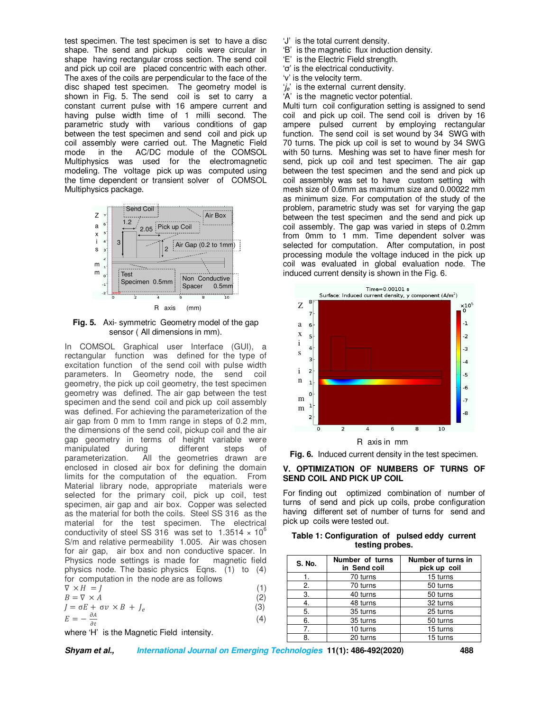test specimen. The test specimen is set to have a disc shape. The send and pickup coils were circular in shape having rectangular cross section. The send coil and pick up coil are placed concentric with each other. The axes of the coils are perpendicular to the face of the disc shaped test specimen. The geometry model is shown in Fig. 5. The send coil is set to carry a constant current pulse with 16 ampere current and having pulse width time of 1 milli second. The parametric study with various conditions of gap between the test specimen and send coil and pick up coil assembly were carried out. The Magnetic Field<br>mode in the AC/DC module of the COMSOL AC/DC module of the COMSOL Multiphysics was used for the electromagnetic modeling. The voltage pick up was computed using the time dependent or transient solver of COMSOL Multiphysics package.



**Fig. 5.** Axi- symmetric Geometry model of the gap sensor ( All dimensions in mm).

In COMSOL Graphical user Interface (GUI), a rectangular function was defined for the type of excitation function of the send coil with pulse width parameters. In Geometry node, the send coil geometry, the pick up coil geometry, the test specimen geometry was defined. The air gap between the test specimen and the send coil and pick up coil assembly was defined. For achieving the parameterization of the air gap from 0 mm to 1mm range in steps of 0.2 mm, the dimensions of the send coil, pickup coil and the air gap geometry in terms of height variable were manipulated during different steps of<br>parameterization. All the geometries drawn are All the geometries drawn are enclosed in closed air box for defining the domain limits for the computation of the equation. From Material library node, appropriate materials were selected for the primary coil, pick up coil, test specimen, air gap and air box. Copper was selected as the material for both the coils. Steel SS 316 as the material for the test specimen. The electrical conductivity of steel SS 316 was set to 1.3514  $\times$  10<sup>6</sup> S/m and relative permeability 1.005. Air was chosen for air gap, air box and non conductive spacer. In Physics node settings is made for magnetic field physics node. The basic physics Eqns. (1) to (4) for computation in the node are as follows

| $\nabla \times H = I$                     | (1) |
|-------------------------------------------|-----|
| $B = \nabla \times A$                     | (2) |
| $I = \sigma E + \sigma v \times B + I_e$  | (3) |
| $E=-\frac{\partial A}{\partial x}$<br>дt. | (4) |

where 'H' is the Magnetic Field intensity.

- 'J' is the total current density.
- 'B' is the magnetic flux induction density.

'E' is the Electric Field strength.

'σ' is the electrical conductivity.

- 'v' is the velocity term.
- '*je*' is the external current density.
- 'A' is the magnetic vector potential.

Multi turn coil configuration setting is assigned to send coil and pick up coil. The send coil is driven by 16 ampere pulsed current by employing rectangular function. The send coil is set wound by 34 SWG with 70 turns. The pick up coil is set to wound by 34 SWG with 50 turns. Meshing was set to have finer mesh for send, pick up coil and test specimen. The air gap between the test specimen and the send and pick up coil assembly was set to have custom setting with mesh size of 0.6mm as maximum size and 0.00022 mm as minimum size. For computation of the study of the problem, parametric study was set for varying the gap between the test specimen and the send and pick up coil assembly. The gap was varied in steps of 0.2mm from 0mm to 1 mm. Time dependent solver was selected for computation. After computation, in post processing module the voltage induced in the pick up coil was evaluated in global evaluation node. The induced current density is shown in the Fig. 6.



R axis in mm

**Fig. 6.** Induced current density in the test specimen.

# **V. OPTIMIZATION OF NUMBERS OF TURNS OF SEND COIL AND PICK UP COIL**

For finding out optimized combination of number of turns of send and pick up coils, probe configuration having different set of number of turns for send and pick up coils were tested out.

**Table 1: Configuration of pulsed eddy current testing probes.** 

| S. No. | Number of turns<br>in Send coil | Number of turns in<br>pick up coil |
|--------|---------------------------------|------------------------------------|
|        | 70 turns                        | 15 turns                           |
| 2.     | 70 turns                        | 50 turns                           |
| 3.     | 40 turns                        | 50 turns                           |
| 4.     | 48 turns                        | 32 turns                           |
| 5.     | 35 turns                        | 25 turns                           |
| 6.     | 35 turns                        | 50 turns                           |
| 7.     | 10 turns                        | 15 turns                           |
| 8.     | 20 turns                        | 15 turns                           |

**Shyam et al., International Journal on Emerging Technologies 11(1): 486-492(2020) 488**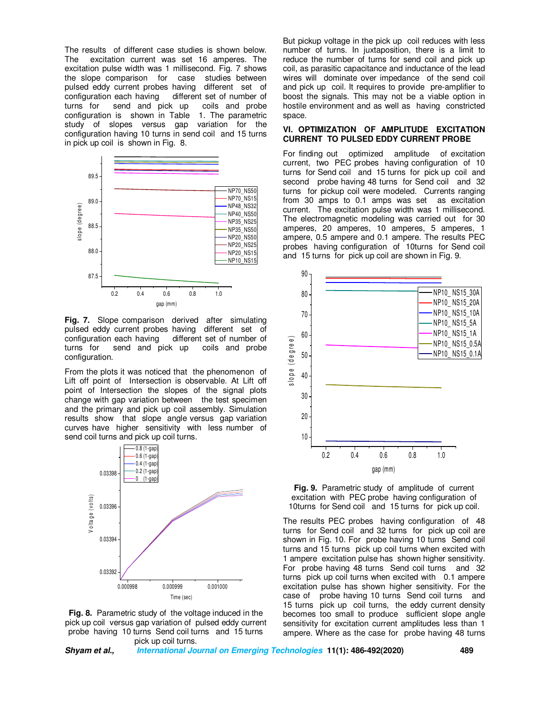The results of different case studies is shown below. The excitation current was set 16 amperes. The excitation pulse width was 1 millisecond. Fig. 7 shows the slope comparison for case studies between pulsed eddy current probes having different set of configuration each having different set of number of turns for send and pick up coils and probe configuration is shown in Table 1. The parametric study of slopes versus gap variation for the configuration having 10 turns in send coil and 15 turns in pick up coil is shown in Fig. 8.



**Fig. 7.** Slope comparison derived after simulating pulsed eddy current probes having different set of configuration each having different set of number of turns for send and pick up coils and probe configuration.

From the plots it was noticed that the phenomenon of Lift off point of Intersection is observable. At Lift off point of Intersection the slopes of the signal plots change with gap variation between the test specimen and the primary and pick up coil assembly. Simulation results show that slope angle versus gap variation curves have higher sensitivity with less number of send coil turns and pick up coil turns.





But pickup voltage in the pick up coil reduces with less number of turns. In juxtaposition, there is a limit to reduce the number of turns for send coil and pick up coil, as parasitic capacitance and inductance of the lead wires will dominate over impedance of the send coil and pick up coil. It requires to provide pre-amplifier to boost the signals. This may not be a viable option in hostile environment and as well as having constricted space.

## **VI. OPTIMIZATION OF AMPLITUDE EXCITATION CURRENT TO PULSED EDDY CURRENT PROBE**

For finding out optimized amplitude of excitation current, two PEC probes having configuration of 10 turns for Send coil and 15 turns for pick up coil and second probe having 48 turns for Send coil and 32 turns for pickup coil were modeled. Currents ranging from 30 amps to 0.1 amps was set as excitation current. The excitation pulse width was 1 millisecond. The electromagnetic modeling was carried out for 30 amperes, 20 amperes, 10 amperes, 5 amperes, 1 ampere, 0.5 ampere and 0.1 ampere. The results PEC probes having configuration of 10turns for Send coil and 15 turns for pick up coil are shown in Fig. 9.



**Fig. 9.** Parametric study of amplitude of current excitation with PEC probe having configuration of 10turns for Send coil and 15 turns for pick up coil.

The results PEC probes having configuration of 48 turns for Send coil and 32 turns for pick up coil are shown in Fig. 10. For probe having 10 turns Send coil turns and 15 turns pick up coil turns when excited with 1 ampere excitation pulse has shown higher sensitivity. For probe having 48 turns Send coil turns and 32 turns pick up coil turns when excited with 0.1 ampere excitation pulse has shown higher sensitivity. For the case of probe having 10 turns Send coil turns and 15 turns pick up coil turns, the eddy current density becomes too small to produce sufficient slope angle sensitivity for excitation current amplitudes less than 1 ampere. Where as the case for probe having 48 turns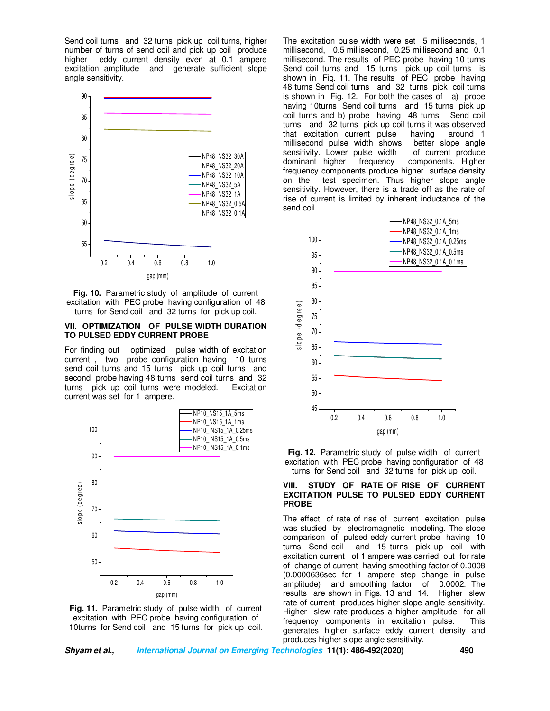Send coil turns and 32 turns pick up coil turns, higher number of turns of send coil and pick up coil produce higher eddy current density even at 0.1 ampere excitation amplitude and generate sufficient slope angle sensitivity.



**Fig. 10.** Parametric study of amplitude of current excitation with PEC probe having configuration of 48 turns for Send coil and 32 turns for pick up coil.

#### **VII. OPTIMIZATION OF PULSE WIDTH DURATION TO PULSED EDDY CURRENT PROBE**

For finding out optimized pulse width of excitation current , two probe configuration having 10 turns send coil turns and 15 turns pick up coil turns and second probe having 48 turns send coil turns and 32 turns pick up coil turns were modeled. Excitation current was set for 1 ampere.





The excitation pulse width were set 5 milliseconds, 1 millisecond, 0.5 millisecond, 0.25 millisecond and 0.1 millisecond. The results of PEC probe having 10 turns Send coil turns and 15 turns pick up coil turns is shown in Fig. 11. The results of PEC probe having 48 turns Send coil turns and 32 turns pick coil turns is shown in Fig. 12. For both the cases of a) probe having 10turns Send coil turns and 15 turns pick up coil turns and b) probe having 48 turns Send coil turns and 32 turns pick up coil turns it was observed that excitation current pulse having around 1 millisecond pulse width shows better slope angle millisecond pulse width shows better slope angle sensitivity. Lower pulse width of current produce sensitivity. Lower pulse width<br>dominant higher frequency components. Higher frequency components produce higher surface density on the test specimen. Thus higher slope angle sensitivity. However, there is a trade off as the rate of rise of current is limited by inherent inductance of the send coil.



**Fig. 12.** Parametric study of pulse width of current excitation with PEC probe having configuration of 48 turns for Send coil and 32 turns for pick up coil.

## **VIII. STUDY OF RATE OF RISE OF CURRENT EXCITATION PULSE TO PULSED EDDY CURRENT PROBE**

The effect of rate of rise of current excitation pulse was studied by electromagnetic modeling. The slope comparison of pulsed eddy current probe having 10 turns Send coil and 15 turns pick up coil with excitation current of 1 ampere was carried out for rate of change of current having smoothing factor of 0.0008 (0.0000636sec for 1 ampere step change in pulse amplitude) and smoothing factor of 0.0002. The results are shown in Figs. 13 and 14. Higher slew rate of current produces higher slope angle sensitivity. Higher slew rate produces a higher amplitude for all frequency components in excitation pulse. This generates higher surface eddy current density and produces higher slope angle sensitivity.

**Shyam et al., International Journal on Emerging Technologies 11(1): 486-492(2020) 490**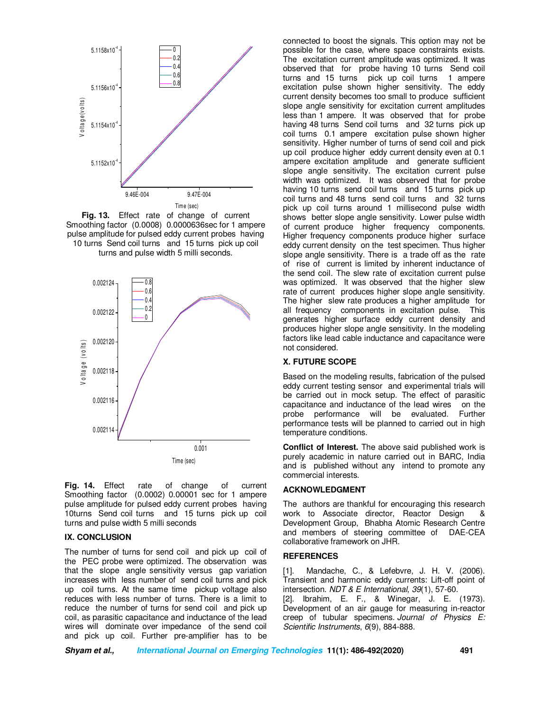

**Fig. 13.** Effect rate of change of current Smoothing factor (0.0008) 0.0000636sec for 1 ampere pulse amplitude for pulsed eddy current probes having 10 turns Send coil turns and 15 turns pick up coil turns and pulse width 5 milli seconds.



**Fig. 14.** Effect rate of change of current Smoothing factor (0.0002) 0.00001 sec for 1 ampere pulse amplitude for pulsed eddy current probes having 10turns Send coil turns and 15 turns pick up coil turns and pulse width 5 milli seconds

#### **IX. CONCLUSION**

The number of turns for send coil and pick up coil of the PEC probe were optimized. The observation was that the slope angle sensitivity versus gap variation increases with less number of send coil turns and pick up coil turns. At the same time pickup voltage also reduces with less number of turns. There is a limit to reduce the number of turns for send coil and pick up coil, as parasitic capacitance and inductance of the lead wires will dominate over impedance of the send coil and pick up coil. Further pre-amplifier has to be

connected to boost the signals. This option may not be possible for the case, where space constraints exists. The excitation current amplitude was optimized. It was observed that for probe having 10 turns Send coil turns and 15 turns pick up coil turns 1 ampere excitation pulse shown higher sensitivity. The eddy current density becomes too small to produce sufficient slope angle sensitivity for excitation current amplitudes less than 1 ampere. It was observed that for probe having 48 turns Send coil turns and 32 turns pick up coil turns 0.1 ampere excitation pulse shown higher sensitivity. Higher number of turns of send coil and pick up coil produce higher eddy current density even at 0.1 ampere excitation amplitude and generate sufficient slope angle sensitivity. The excitation current pulse width was optimized. It was observed that for probe having 10 turns send coil turns and 15 turns pick up coil turns and 48 turns send coil turns and 32 turns pick up coil turns around 1 millisecond pulse width shows better slope angle sensitivity. Lower pulse width of current produce higher frequency components. Higher frequency components produce higher surface eddy current density on the test specimen. Thus higher slope angle sensitivity. There is a trade off as the rate of rise of current is limited by inherent inductance of the send coil. The slew rate of excitation current pulse was optimized. It was observed that the higher slew rate of current produces higher slope angle sensitivity. The higher slew rate produces a higher amplitude for all frequency components in excitation pulse. This generates higher surface eddy current density and produces higher slope angle sensitivity. In the modeling factors like lead cable inductance and capacitance were not considered.

## **X. FUTURE SCOPE**

Based on the modeling results, fabrication of the pulsed eddy current testing sensor and experimental trials will be carried out in mock setup. The effect of parasitic capacitance and inductance of the lead wires on the probe performance will be evaluated. Further performance tests will be planned to carried out in high temperature conditions.

**Conflict of Interest.** The above said published work is purely academic in nature carried out in BARC, India and is published without any intend to promote any commercial interests.

#### **ACKNOWLEDGMENT**

The authors are thankful for encouraging this research work to Associate director, Reactor Design & Development Group, Bhabha Atomic Research Centre and members of steering committee of DAE-CEA collaborative framework on JHR.

## **REFERENCES**

[1]. Mandache, C., & Lefebvre, J. H. V. (2006). Transient and harmonic eddy currents: Lift-off point of intersection. *NDT & E International*, *39*(1), 57-60. [2]. Ibrahim, E. F., & Winegar, J. E. (1973). Development of an air gauge for measuring in-reactor creep of tubular specimens. *Journal of Physics E: Scientific Instruments*, *6*(9), 884-888.

**Shyam et al., International Journal on Emerging Technologies 11(1): 486-492(2020) 491**